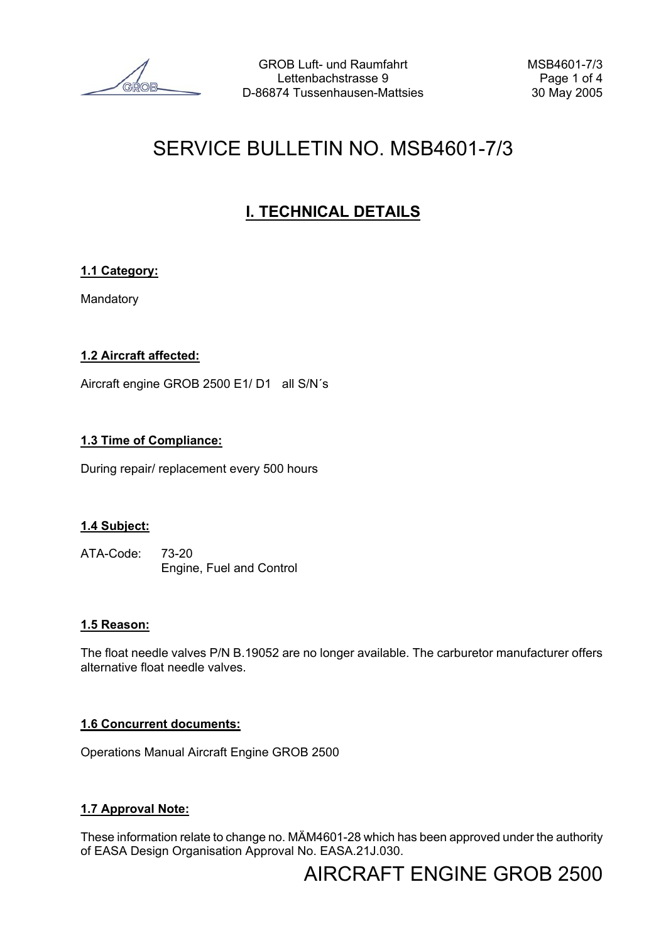# SERVICE BULLETIN NO. MSB4601-7/3

# **I. TECHNICAL DETAILS**

## **1.1 Category:**

Mandatory

## **1.2 Aircraft affected:**

Aircraft engine GROB 2500 E1/ D1 all S/N´s

#### **1.3 Time of Compliance:**

During repair/ replacement every 500 hours

#### **1.4 Subject:**

ATA-Code: 73-20 Engine, Fuel and Control

#### **1.5 Reason:**

The float needle valves P/N B.19052 are no longer available. The carburetor manufacturer offers alternative float needle valves.

#### **1.6 Concurrent documents:**

Operations Manual Aircraft Engine GROB 2500

## **1.7 Approval Note:**

These information relate to change no. MÄM4601-28 which has been approved under the authority of EASA Design Organisation Approval No. EASA.21J.030.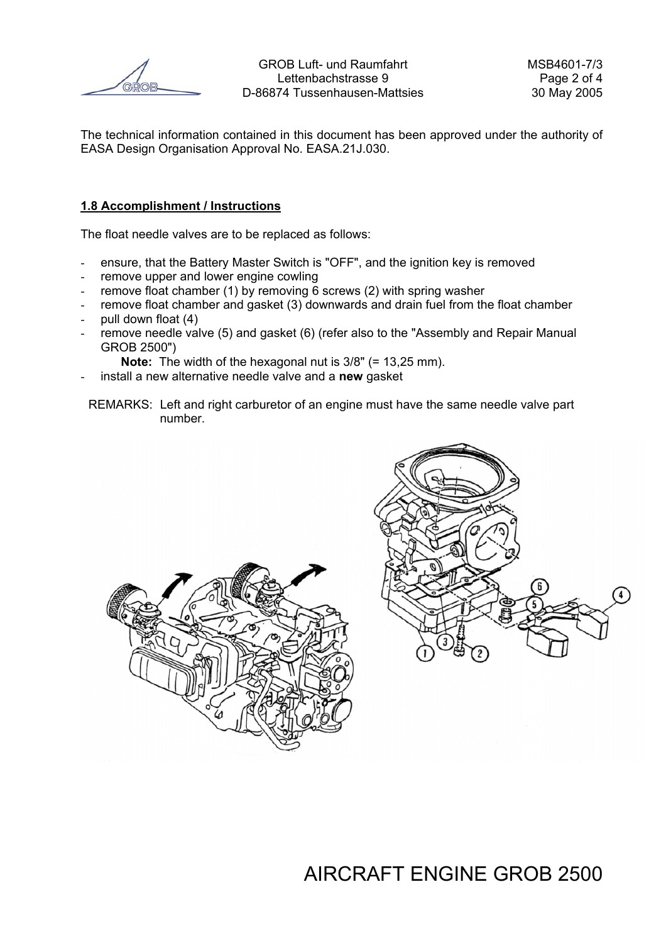The technical information contained in this document has been approved under the authority of EASA Design Organisation Approval No. EASA.21J.030.

#### **1.8 Accomplishment / Instructions**

The float needle valves are to be replaced as follows:

- ensure, that the Battery Master Switch is "OFF", and the ignition key is removed
- remove upper and lower engine cowling
- remove float chamber (1) by removing  $\overline{6}$  screws (2) with spring washer
- remove float chamber and gasket (3) downwards and drain fuel from the float chamber
- pull down float (4)
- remove needle valve (5) and gasket (6) (refer also to the "Assembly and Repair Manual GROB 2500")

**Note:** The width of the hexagonal nut is  $3/8$ " (= 13,25 mm).

- install a new alternative needle valve and a **new** gasket
- REMARKS: Left and right carburetor of an engine must have the same needle valve part number.

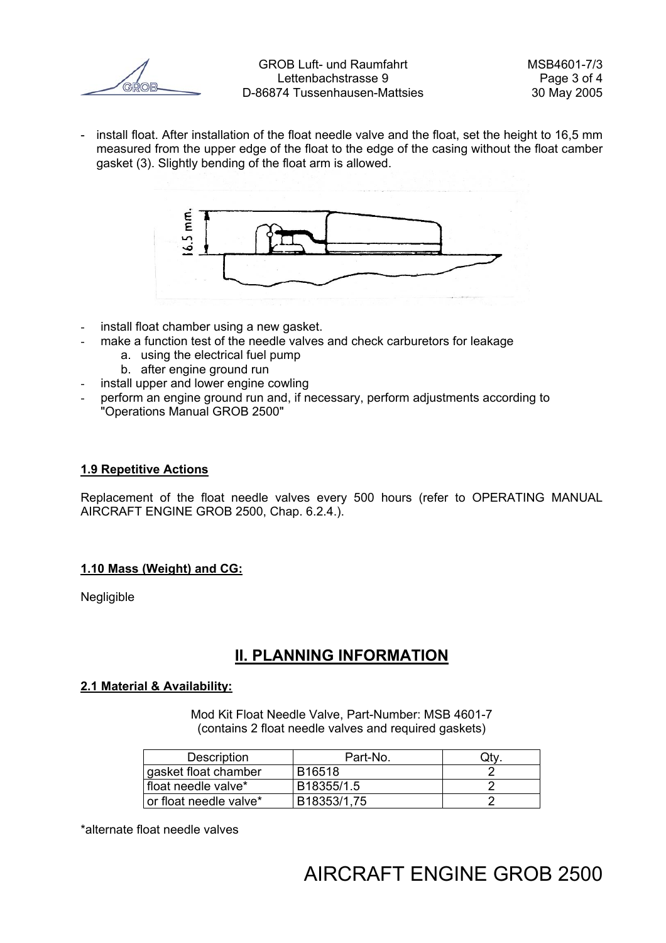- install float. After installation of the float needle valve and the float, set the height to 16,5 mm measured from the upper edge of the float to the edge of the casing without the float camber gasket (3). Slightly bending of the float arm is allowed.



- install float chamber using a new gasket.
- make a function test of the needle valves and check carburetors for leakage
	- a. using the electrical fuel pump
	- b. after engine ground run
- install upper and lower engine cowling
- perform an engine ground run and, if necessary, perform adjustments according to "Operations Manual GROB 2500"

#### **1.9 Repetitive Actions**

Replacement of the float needle valves every 500 hours (refer to OPERATING MANUAL AIRCRAFT ENGINE GROB 2500, Chap. 6.2.4.).

#### **1.10 Mass (Weight) and CG:**

Negligible

## **II. PLANNING INFORMATION**

#### **2.1 Material & Availability:**

Mod Kit Float Needle Valve, Part-Number: MSB 4601-7 (contains 2 float needle valves and required gaskets)

| Description            | Part-No.    | uι |
|------------------------|-------------|----|
| gasket float chamber   | B16518      |    |
| float needle valve*    | B18355/1.5  |    |
| or float needle valve* | B18353/1,75 |    |

\*alternate float needle valves